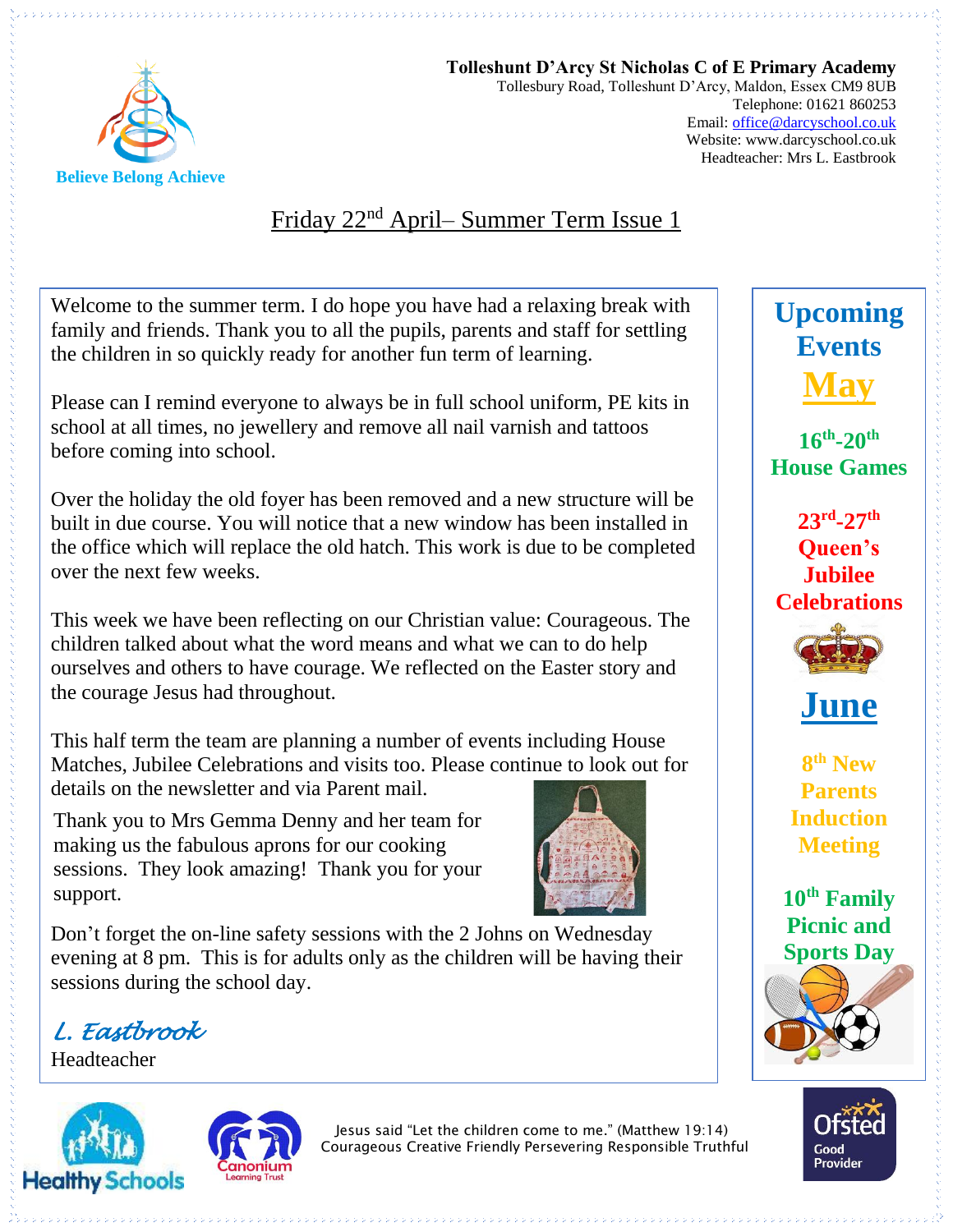

**Tolleshunt D'Arcy St Nicholas C of E Primary Academy** Tollesbury Road, Tolleshunt D'Arcy, Maldon, Essex CM9 8UB Telephone: 01621 860253 Email[: office@darcyschool.co.uk](mailto:office@darcyschool.co.uk) Website: www.darcyschool.co.uk Headteacher: Mrs L. Eastbrook

### Friday 22nd April– Summer Term Issue 1

Welcome to the summer term. I do hope you have had a relaxing break with family and friends. Thank you to all the pupils, parents and staff for settling the children in so quickly ready for another fun term of learning.

Please can I remind everyone to always be in full school uniform, PE kits in school at all times, no jewellery and remove all nail varnish and tattoos before coming into school.

Over the holiday the old foyer has been removed and a new structure will be built in due course. You will notice that a new window has been installed in the office which will replace the old hatch. This work is due to be completed over the next few weeks.

This week we have been reflecting on our Christian value: Courageous. The children talked about what the word means and what we can to do help ourselves and others to have courage. We reflected on the Easter story and the courage Jesus had throughout.

This half term the team are planning a number of events including House Matches, Jubilee Celebrations and visits too. Please continue to look out for details on the newsletter and via Parent mail.

Thank you to Mrs Gemma Denny and her team for making us the fabulous aprons for our cooking sessions. They look amazing! Thank you for your support.



Don't forget the on-line safety sessions with the 2 Johns on Wednesday evening at 8 pm. This is for adults only as the children will be having their sessions during the school day.

*L. Eastbrook* 

Headteacher





Jesus said "Let the children come to me." (Matthew 19:14) Courageous Creative Friendly Persevering Responsible Truthful

# **Upcoming Events May**

**16th -20th House Games**

**23rd -27th Queen's Jubilee Celebrations**





**8 th New Parents Induction Meeting**

**10th Family Picnic and Sports Day**